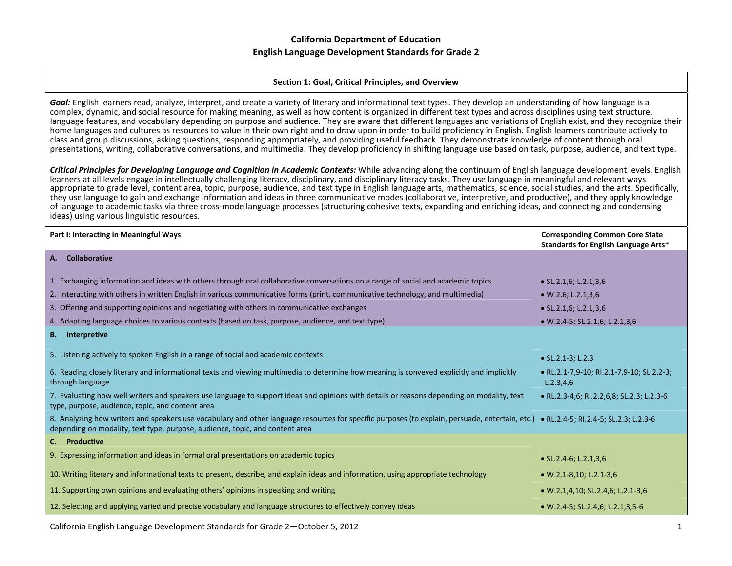#### **Section 1: Goal, Critical Principles, and Overview**

*Goal:* English learners read, analyze, interpret, and create <sup>a</sup> variety of literary and informational text types. They develop an understanding of how language is <sup>a</sup> complex, dynamic, and social resource for making meaning, as well as how content is organized in different text types and across disciplines using text structure, language features, and vocabulary depending on purpose and audience. They are aware that different languages and variations of English exist, and they recognize their home languages and cultures as resources to value in their own right and to draw upon in order to build proficiency in English. English learners contribute actively to class and group discussions, asking questions, responding appropriately, and providing useful feedback. They demonstrate knowledge of content through oral presentations, writing, collaborative conversations, and multimedia. They develop proficiency in shifting language use based on task, purpose, audience, and text type.

Critical Principles for Developing Language and Cognition in Academic Contexts: While advancing along the continuum of English language development levels, English learners at all levels engage in intellectually challenging literacy, disciplinary, and disciplinary literacy tasks. They use language in meaningful and relevant ways appropriate to grade level, content area, topic, purpose, audience, and text type in English language arts, mathematics, science, social studies, and the arts. Specifically, they use language to gain and exchange information and ideas in three communicative modes (collaborative, interpretive, and productive), and they apply knowledge of language to academic tasks via three cross‐mode language processes (structuring cohesive texts, expanding and enriching ideas, and connecting and condensing ideas) using various linguistic resources.

| Part I: Interacting in Meaningful Ways                                                                                                                                                                                                                                | <b>Corresponding Common Core State</b><br>Standards for English Language Arts* |
|-----------------------------------------------------------------------------------------------------------------------------------------------------------------------------------------------------------------------------------------------------------------------|--------------------------------------------------------------------------------|
| A. Collaborative                                                                                                                                                                                                                                                      |                                                                                |
| 1. Exchanging information and ideas with others through oral collaborative conversations on a range of social and academic topics                                                                                                                                     | $\bullet$ SL.2.1,6; L.2.1,3,6                                                  |
| 2. Interacting with others in written English in various communicative forms (print, communicative technology, and multimedia)                                                                                                                                        | $\bullet$ W.2.6; L.2.1,3,6                                                     |
| 3. Offering and supporting opinions and negotiating with others in communicative exchanges                                                                                                                                                                            | $\bullet$ SL.2.1,6; L.2.1,3,6                                                  |
| 4. Adapting language choices to various contexts (based on task, purpose, audience, and text type)                                                                                                                                                                    | $W.2.4-5$ ; SL.2.1,6; L.2.1,3,6                                                |
| <b>B.</b> Interpretive                                                                                                                                                                                                                                                |                                                                                |
| 5. Listening actively to spoken English in a range of social and academic contexts                                                                                                                                                                                    | • $SL.2.1-3$ ; $L.2.3$                                                         |
| 6. Reading closely literary and informational texts and viewing multimedia to determine how meaning is conveyed explicitly and implicitly<br>through language                                                                                                         | • RL.2.1-7,9-10; RI.2.1-7,9-10; SL.2.2-3;<br>L.2.3,4,6                         |
| 7. Evaluating how well writers and speakers use language to support ideas and opinions with details or reasons depending on modality, text<br>type, purpose, audience, topic, and content area                                                                        | • RL.2.3-4,6; RI.2.2,6,8; SL.2.3; L.2.3-6                                      |
| 8. Analyzing how writers and speakers use vocabulary and other language resources for specific purposes (to explain, persuade, entertain, etc.) • RL.2.4-5; RI.2.4-5; SL.2.3; L.2.3-6<br>depending on modality, text type, purpose, audience, topic, and content area |                                                                                |
| C. Productive                                                                                                                                                                                                                                                         |                                                                                |
| 9. Expressing information and ideas in formal oral presentations on academic topics                                                                                                                                                                                   | $\bullet$ SL.2.4-6; L.2.1,3,6                                                  |
| 10. Writing literary and informational texts to present, describe, and explain ideas and information, using appropriate technology                                                                                                                                    | $\bullet$ W.2.1-8,10; L.2.1-3,6                                                |
| 11. Supporting own opinions and evaluating others' opinions in speaking and writing                                                                                                                                                                                   | • W.2.1,4,10; SL.2.4,6; L.2.1-3,6                                              |
| 12. Selecting and applying varied and precise vocabulary and language structures to effectively convey ideas                                                                                                                                                          | • W.2.4-5; SL.2.4,6; L.2.1,3,5-6                                               |

California English Language Development Standards for Grade 2—October 5, 2012 1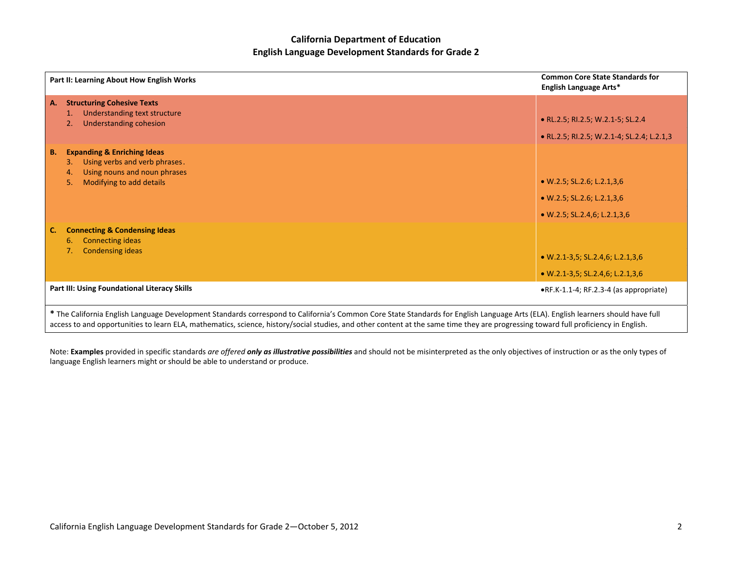|           | Part II: Learning About How English Works                                                                                                                                                                                                                                                                                                                                | <b>Common Core State Standards for</b><br>English Language Arts* |
|-----------|--------------------------------------------------------------------------------------------------------------------------------------------------------------------------------------------------------------------------------------------------------------------------------------------------------------------------------------------------------------------------|------------------------------------------------------------------|
| A.        | <b>Structuring Cohesive Texts</b><br>Understanding text structure<br>1.                                                                                                                                                                                                                                                                                                  |                                                                  |
|           | <b>Understanding cohesion</b><br>2.                                                                                                                                                                                                                                                                                                                                      | • RL.2.5; RI.2.5; W.2.1-5; SL.2.4                                |
|           |                                                                                                                                                                                                                                                                                                                                                                          | • RL.2.5; RI.2.5; W.2.1-4; SL.2.4; L.2.1,3                       |
| <b>B.</b> | <b>Expanding &amp; Enriching Ideas</b><br>Using verbs and verb phrases.<br>3.<br>Using nouns and noun phrases<br>4.                                                                                                                                                                                                                                                      |                                                                  |
|           | Modifying to add details<br>5.                                                                                                                                                                                                                                                                                                                                           | $\bullet$ W.2.5; SL.2.6; L.2.1,3,6                               |
|           |                                                                                                                                                                                                                                                                                                                                                                          | $\bullet$ W.2.5; SL.2.6; L.2.1,3,6                               |
|           |                                                                                                                                                                                                                                                                                                                                                                          | $\bullet$ W.2.5; SL.2.4,6; L.2.1,3,6                             |
| C.        | <b>Connecting &amp; Condensing Ideas</b><br><b>Connecting ideas</b><br>6.                                                                                                                                                                                                                                                                                                |                                                                  |
|           | <b>Condensing ideas</b><br>7.                                                                                                                                                                                                                                                                                                                                            | • W.2.1-3,5; SL.2.4,6; L.2.1,3,6                                 |
|           |                                                                                                                                                                                                                                                                                                                                                                          | • W.2.1-3,5; SL.2.4,6; L.2.1,3,6                                 |
|           | Part III: Using Foundational Literacy Skills                                                                                                                                                                                                                                                                                                                             | ·RF.K-1.1-4; RF.2.3-4 (as appropriate)                           |
|           | * The California English Language Development Standards correspond to California's Common Core State Standards for English Language Arts (ELA). English learners should have full<br>access to and opportunities to learn ELA, mathematics, science, history/social studies, and other content at the same time they are progressing toward full proficiency in English. |                                                                  |

Note: **Examples** provided in specific standards are offered **only as illustrative possibilities** and should not be misinterpreted as the only objectives of instruction or as the only types of language English learners might or should be able to understand or produce.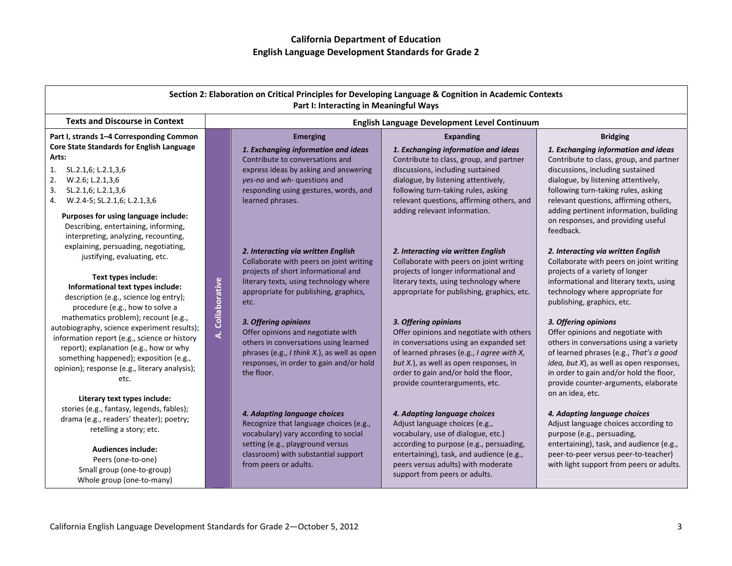| Section 2: Elaboration on Critical Principles for Developing Language & Cognition in Academic Contexts<br>Part I: Interacting in Meaningful Ways                                                                                                                                                                                                                                                                                                                                                  |                  |                                                                                                                                                                                                                                                                                                                                                                                                                               |                                                                                                                                                                                                                                                                                                                                                                                                                                                                                              |                                                                                                                                                                                                                                                                                                                                                                                                                                                                                                                 |
|---------------------------------------------------------------------------------------------------------------------------------------------------------------------------------------------------------------------------------------------------------------------------------------------------------------------------------------------------------------------------------------------------------------------------------------------------------------------------------------------------|------------------|-------------------------------------------------------------------------------------------------------------------------------------------------------------------------------------------------------------------------------------------------------------------------------------------------------------------------------------------------------------------------------------------------------------------------------|----------------------------------------------------------------------------------------------------------------------------------------------------------------------------------------------------------------------------------------------------------------------------------------------------------------------------------------------------------------------------------------------------------------------------------------------------------------------------------------------|-----------------------------------------------------------------------------------------------------------------------------------------------------------------------------------------------------------------------------------------------------------------------------------------------------------------------------------------------------------------------------------------------------------------------------------------------------------------------------------------------------------------|
| <b>Texts and Discourse in Context</b>                                                                                                                                                                                                                                                                                                                                                                                                                                                             |                  |                                                                                                                                                                                                                                                                                                                                                                                                                               | English Language Development Level Continuum                                                                                                                                                                                                                                                                                                                                                                                                                                                 |                                                                                                                                                                                                                                                                                                                                                                                                                                                                                                                 |
| Part I, strands 1-4 Corresponding Common<br>Core State Standards for English Language<br>Arts:<br>SL.2.1,6; L.2.1,3,6<br>1.<br>2.<br>W.2.6; L.2.1,3,6<br>SL.2.1,6; L.2.1,3,6<br>3.<br>W.2.4-5; SL.2.1,6; L.2.1,3,6<br>4.<br>Purposes for using language include:<br>Describing, entertaining, informing,<br>interpreting, analyzing, recounting,                                                                                                                                                  |                  | <b>Emerging</b><br>1. Exchanging information and ideas<br>Contribute to conversations and<br>express ideas by asking and answering<br>yes-no and wh- questions and<br>responding using gestures, words, and<br>learned phrases.                                                                                                                                                                                               | <b>Expanding</b><br>1. Exchanging information and ideas<br>Contribute to class, group, and partner<br>discussions, including sustained<br>dialogue, by listening attentively,<br>following turn-taking rules, asking<br>relevant questions, affirming others, and<br>adding relevant information.                                                                                                                                                                                            | <b>Bridging</b><br>1. Exchanging information and ideas<br>Contribute to class, group, and partner<br>discussions, including sustained<br>dialogue, by listening attentively,<br>following turn-taking rules, asking<br>relevant questions, affirming others,<br>adding pertinent information, building<br>on responses, and providing useful<br>feedback.                                                                                                                                                       |
| explaining, persuading, negotiating,<br>justifying, evaluating, etc.<br>Text types include:<br>Informational text types include:<br>description (e.g., science log entry);<br>procedure (e.g., how to solve a<br>mathematics problem); recount (e.g.,<br>autobiography, science experiment results);<br>information report (e.g., science or history<br>report); explanation (e.g., how or why<br>something happened); exposition (e.g.,<br>opinion); response (e.g., literary analysis);<br>etc. | A. Collaborative | 2. Interacting via written English<br>Collaborate with peers on joint writing<br>projects of short informational and<br>literary texts, using technology where<br>appropriate for publishing, graphics,<br>etc.<br>3. Offering opinions<br>Offer opinions and negotiate with<br>others in conversations using learned<br>phrases (e.g., I think X.), as well as open<br>responses, in order to gain and/or hold<br>the floor. | 2. Interacting via written English<br>Collaborate with peers on joint writing<br>projects of longer informational and<br>literary texts, using technology where<br>appropriate for publishing, graphics, etc.<br>3. Offering opinions<br>Offer opinions and negotiate with others<br>in conversations using an expanded set<br>of learned phrases (e.g., I agree with X,<br>but X.), as well as open responses, in<br>order to gain and/or hold the floor,<br>provide counterarguments, etc. | 2. Interacting via written English<br>Collaborate with peers on joint writing<br>projects of a variety of longer<br>informational and literary texts, using<br>technology where appropriate for<br>publishing, graphics, etc.<br>3. Offering opinions<br>Offer opinions and negotiate with<br>others in conversations using a variety<br>of learned phrases (e.g., That's a good<br>idea, but X), as well as open responses,<br>in order to gain and/or hold the floor,<br>provide counter-arguments, elaborate |
| Literary text types include:<br>stories (e.g., fantasy, legends, fables);<br>drama (e.g., readers' theater); poetry;<br>retelling a story; etc.<br>Audiences include:<br>Peers (one-to-one)<br>Small group (one-to-group)<br>Whole group (one-to-many)                                                                                                                                                                                                                                            |                  | 4. Adapting language choices<br>Recognize that language choices (e.g.,<br>vocabulary) vary according to social<br>setting (e.g., playground versus<br>classroom) with substantial support<br>from peers or adults.                                                                                                                                                                                                            | 4. Adapting language choices<br>Adjust language choices (e.g.,<br>vocabulary, use of dialogue, etc.)<br>according to purpose (e.g., persuading,<br>entertaining), task, and audience (e.g.,<br>peers versus adults) with moderate<br>support from peers or adults.                                                                                                                                                                                                                           | on an idea, etc.<br>4. Adapting language choices<br>Adjust language choices according to<br>purpose (e.g., persuading,<br>entertaining), task, and audience (e.g.,<br>peer-to-peer versus peer-to-teacher)<br>with light support from peers or adults.                                                                                                                                                                                                                                                          |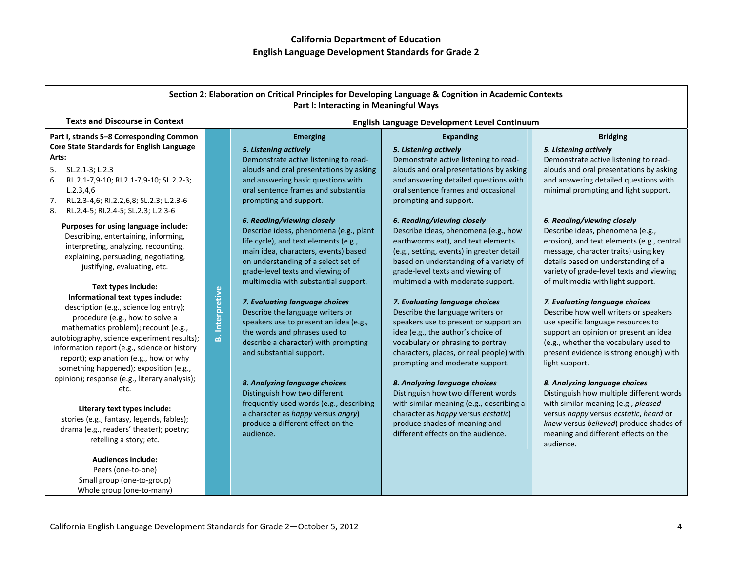| Section 2: Elaboration on Critical Principles for Developing Language & Cognition in Academic Contexts<br>Part I: Interacting in Meaningful Ways                                                                                                                                                                                                                                                                          |                        |                                                                                                                                                                                                                                                                                     |                                                                                                                                                                                                                                                                                                                                               |                                                                                                                                                                                                                                                                                                                                           |
|---------------------------------------------------------------------------------------------------------------------------------------------------------------------------------------------------------------------------------------------------------------------------------------------------------------------------------------------------------------------------------------------------------------------------|------------------------|-------------------------------------------------------------------------------------------------------------------------------------------------------------------------------------------------------------------------------------------------------------------------------------|-----------------------------------------------------------------------------------------------------------------------------------------------------------------------------------------------------------------------------------------------------------------------------------------------------------------------------------------------|-------------------------------------------------------------------------------------------------------------------------------------------------------------------------------------------------------------------------------------------------------------------------------------------------------------------------------------------|
| <b>Texts and Discourse in Context</b>                                                                                                                                                                                                                                                                                                                                                                                     |                        |                                                                                                                                                                                                                                                                                     | English Language Development Level Continuum                                                                                                                                                                                                                                                                                                  |                                                                                                                                                                                                                                                                                                                                           |
| Part I, strands 5-8 Corresponding Common<br>Core State Standards for English Language                                                                                                                                                                                                                                                                                                                                     |                        | <b>Emerging</b>                                                                                                                                                                                                                                                                     | <b>Expanding</b>                                                                                                                                                                                                                                                                                                                              | <b>Bridging</b>                                                                                                                                                                                                                                                                                                                           |
| Arts:<br>5.<br>SL.2.1-3; L.2.3<br>RL.2.1-7,9-10; RI.2.1-7,9-10; SL.2.2-3;<br>6.<br>L.2.3, 4.6<br>7.<br>RL.2.3-4,6; RI.2.2,6,8; SL.2.3; L.2.3-6<br>8.<br>RL.2.4-5; RI.2.4-5; SL.2.3; L.2.3-6                                                                                                                                                                                                                               |                        | 5. Listening actively<br>Demonstrate active listening to read-<br>alouds and oral presentations by asking<br>and answering basic questions with<br>oral sentence frames and substantial<br>prompting and support.                                                                   | 5. Listening actively<br>Demonstrate active listening to read-<br>alouds and oral presentations by asking<br>and answering detailed questions with<br>oral sentence frames and occasional<br>prompting and support.                                                                                                                           | 5. Listening actively<br>Demonstrate active listening to read-<br>alouds and oral presentations by asking<br>and answering detailed questions with<br>minimal prompting and light support.                                                                                                                                                |
| Purposes for using language include:<br>Describing, entertaining, informing,<br>interpreting, analyzing, recounting,<br>explaining, persuading, negotiating,<br>justifying, evaluating, etc.                                                                                                                                                                                                                              |                        | 6. Reading/viewing closely<br>Describe ideas, phenomena (e.g., plant<br>life cycle), and text elements (e.g.,<br>main idea, characters, events) based<br>on understanding of a select set of<br>grade-level texts and viewing of<br>multimedia with substantial support.            | 6. Reading/viewing closely<br>Describe ideas, phenomena (e.g., how<br>earthworms eat), and text elements<br>(e.g., setting, events) in greater detail<br>based on understanding of a variety of<br>grade-level texts and viewing of<br>multimedia with moderate support.                                                                      | 6. Reading/viewing closely<br>Describe ideas, phenomena (e.g.,<br>erosion), and text elements (e.g., central<br>message, character traits) using key<br>details based on understanding of a<br>variety of grade-level texts and viewing<br>of multimedia with light support.                                                              |
| Text types include:<br>Informational text types include:<br>description (e.g., science log entry);<br>procedure (e.g., how to solve a<br>mathematics problem); recount (e.g.,<br>autobiography, science experiment results);<br>information report (e.g., science or history<br>report); explanation (e.g., how or why<br>something happened); exposition (e.g.,<br>opinion); response (e.g., literary analysis);<br>etc. | <b>B.</b> Interpretive | 7. Evaluating language choices<br>Describe the language writers or<br>speakers use to present an idea (e.g.,<br>the words and phrases used to<br>describe a character) with prompting<br>and substantial support.<br>8. Analyzing language choices<br>Distinguish how two different | 7. Evaluating language choices<br>Describe the language writers or<br>speakers use to present or support an<br>idea (e.g., the author's choice of<br>vocabulary or phrasing to portray<br>characters, places, or real people) with<br>prompting and moderate support.<br>8. Analyzing language choices<br>Distinguish how two different words | 7. Evaluating language choices<br>Describe how well writers or speakers<br>use specific language resources to<br>support an opinion or present an idea<br>(e.g., whether the vocabulary used to<br>present evidence is strong enough) with<br>light support.<br>8. Analyzing language choices<br>Distinguish how multiple different words |
| Literary text types include:<br>stories (e.g., fantasy, legends, fables);<br>drama (e.g., readers' theater); poetry;<br>retelling a story; etc.                                                                                                                                                                                                                                                                           |                        | frequently-used words (e.g., describing<br>a character as happy versus angry)<br>produce a different effect on the<br>audience.                                                                                                                                                     | with similar meaning (e.g., describing a<br>character as happy versus ecstatic)<br>produce shades of meaning and<br>different effects on the audience.                                                                                                                                                                                        | with similar meaning (e.g., pleased<br>versus happy versus ecstatic, heard or<br>knew versus believed) produce shades of<br>meaning and different effects on the<br>audience.                                                                                                                                                             |
| <b>Audiences include:</b><br>Peers (one-to-one)<br>Small group (one-to-group)<br>Whole group (one-to-many)                                                                                                                                                                                                                                                                                                                |                        |                                                                                                                                                                                                                                                                                     |                                                                                                                                                                                                                                                                                                                                               |                                                                                                                                                                                                                                                                                                                                           |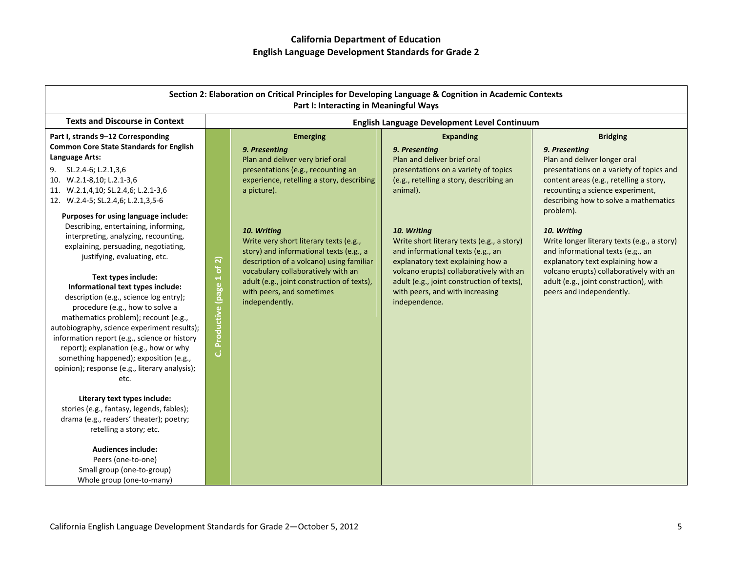| Section 2: Elaboration on Critical Principles for Developing Language & Cognition in Academic Contexts<br>Part I: Interacting in Meaningful Ways                                                                                                                                                                                                                                                                                                                                                                                                                                                                                                                                                                                                                                                                                                                                                                                                                                                                                                                                                                                            |                               |                                                                                                                                                                                                                                                                                                                                                                                                                                                           |                                                                                                                                                                                                                                                                                                                                                                                                                                                     |                                                                                                                                                                                                                                                                                                                                                                                                                                                                                                            |
|---------------------------------------------------------------------------------------------------------------------------------------------------------------------------------------------------------------------------------------------------------------------------------------------------------------------------------------------------------------------------------------------------------------------------------------------------------------------------------------------------------------------------------------------------------------------------------------------------------------------------------------------------------------------------------------------------------------------------------------------------------------------------------------------------------------------------------------------------------------------------------------------------------------------------------------------------------------------------------------------------------------------------------------------------------------------------------------------------------------------------------------------|-------------------------------|-----------------------------------------------------------------------------------------------------------------------------------------------------------------------------------------------------------------------------------------------------------------------------------------------------------------------------------------------------------------------------------------------------------------------------------------------------------|-----------------------------------------------------------------------------------------------------------------------------------------------------------------------------------------------------------------------------------------------------------------------------------------------------------------------------------------------------------------------------------------------------------------------------------------------------|------------------------------------------------------------------------------------------------------------------------------------------------------------------------------------------------------------------------------------------------------------------------------------------------------------------------------------------------------------------------------------------------------------------------------------------------------------------------------------------------------------|
| <b>Texts and Discourse in Context</b>                                                                                                                                                                                                                                                                                                                                                                                                                                                                                                                                                                                                                                                                                                                                                                                                                                                                                                                                                                                                                                                                                                       |                               |                                                                                                                                                                                                                                                                                                                                                                                                                                                           | <b>English Language Development Level Continuum</b>                                                                                                                                                                                                                                                                                                                                                                                                 |                                                                                                                                                                                                                                                                                                                                                                                                                                                                                                            |
| Part I, strands 9-12 Corresponding<br><b>Common Core State Standards for English</b><br>Language Arts:<br>SL.2.4-6; L.2.1,3,6<br>9.<br>10. W.2.1-8,10; L.2.1-3,6<br>11. W.2.1,4,10; SL.2.4,6; L.2.1-3,6<br>12. W.2.4-5; SL.2.4,6; L.2.1,3,5-6<br>Purposes for using language include:<br>Describing, entertaining, informing,<br>interpreting, analyzing, recounting,<br>explaining, persuading, negotiating,<br>justifying, evaluating, etc.<br>Text types include:<br>Informational text types include:<br>description (e.g., science log entry);<br>procedure (e.g., how to solve a<br>mathematics problem); recount (e.g.,<br>autobiography, science experiment results);<br>information report (e.g., science or history<br>report); explanation (e.g., how or why<br>something happened); exposition (e.g.,<br>opinion); response (e.g., literary analysis);<br>etc.<br>Literary text types include:<br>stories (e.g., fantasy, legends, fables);<br>drama (e.g., readers' theater); poetry;<br>retelling a story; etc.<br><b>Audiences include:</b><br>Peers (one-to-one)<br>Small group (one-to-group)<br>Whole group (one-to-many) | of2)<br>C. Productive (page 1 | <b>Emerging</b><br>9. Presenting<br>Plan and deliver very brief oral<br>presentations (e.g., recounting an<br>experience, retelling a story, describing<br>a picture).<br>10. Writing<br>Write very short literary texts (e.g.,<br>story) and informational texts (e.g., a<br>description of a volcano) using familiar<br>vocabulary collaboratively with an<br>adult (e.g., joint construction of texts),<br>with peers, and sometimes<br>independently. | <b>Expanding</b><br>9. Presentina<br>Plan and deliver brief oral<br>presentations on a variety of topics<br>(e.g., retelling a story, describing an<br>animal).<br>10. Writing<br>Write short literary texts (e.g., a story)<br>and informational texts (e.g., an<br>explanatory text explaining how a<br>volcano erupts) collaboratively with an<br>adult (e.g., joint construction of texts),<br>with peers, and with increasing<br>independence. | <b>Bridging</b><br>9. Presenting<br>Plan and deliver longer oral<br>presentations on a variety of topics and<br>content areas (e.g., retelling a story,<br>recounting a science experiment,<br>describing how to solve a mathematics<br>problem).<br>10. Writing<br>Write longer literary texts (e.g., a story)<br>and informational texts (e.g., an<br>explanatory text explaining how a<br>volcano erupts) collaboratively with an<br>adult (e.g., joint construction), with<br>peers and independently. |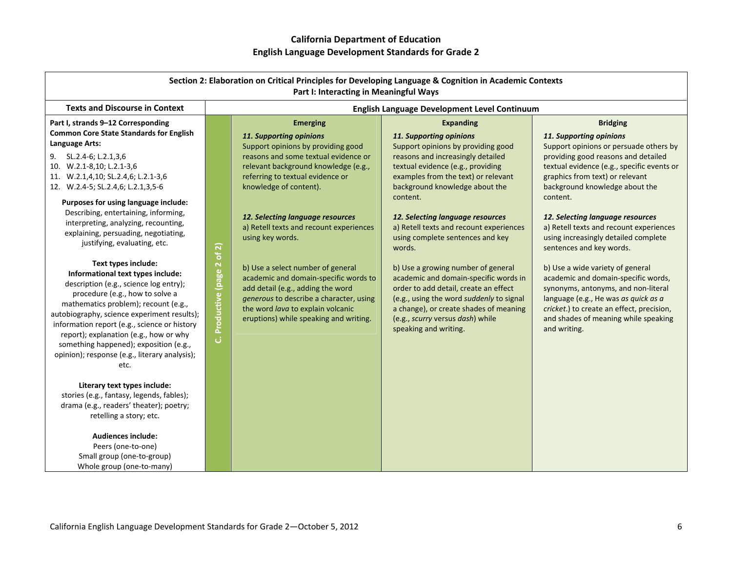| Section 2: Elaboration on Critical Principles for Developing Language & Cognition in Academic Contexts<br>Part I: Interacting in Meaningful Ways                                                                                                                                                                                                                                                                                                                                                                                                                                                                                                                                                                                                                                                                                                                        |                                |                                                                                                                                                                                                                                                                                                                                                                                                                                                                                                                                                                                |                                                                                                                                                                                                                                                                                                                                                                                                                                                                                                                                                                                                                                                          |                                                                                                                                                                                                                                                                                                                                                                                                                                                                                                                                                                                                                                                                              |
|-------------------------------------------------------------------------------------------------------------------------------------------------------------------------------------------------------------------------------------------------------------------------------------------------------------------------------------------------------------------------------------------------------------------------------------------------------------------------------------------------------------------------------------------------------------------------------------------------------------------------------------------------------------------------------------------------------------------------------------------------------------------------------------------------------------------------------------------------------------------------|--------------------------------|--------------------------------------------------------------------------------------------------------------------------------------------------------------------------------------------------------------------------------------------------------------------------------------------------------------------------------------------------------------------------------------------------------------------------------------------------------------------------------------------------------------------------------------------------------------------------------|----------------------------------------------------------------------------------------------------------------------------------------------------------------------------------------------------------------------------------------------------------------------------------------------------------------------------------------------------------------------------------------------------------------------------------------------------------------------------------------------------------------------------------------------------------------------------------------------------------------------------------------------------------|------------------------------------------------------------------------------------------------------------------------------------------------------------------------------------------------------------------------------------------------------------------------------------------------------------------------------------------------------------------------------------------------------------------------------------------------------------------------------------------------------------------------------------------------------------------------------------------------------------------------------------------------------------------------------|
| <b>Texts and Discourse in Context</b>                                                                                                                                                                                                                                                                                                                                                                                                                                                                                                                                                                                                                                                                                                                                                                                                                                   |                                |                                                                                                                                                                                                                                                                                                                                                                                                                                                                                                                                                                                | English Language Development Level Continuum                                                                                                                                                                                                                                                                                                                                                                                                                                                                                                                                                                                                             |                                                                                                                                                                                                                                                                                                                                                                                                                                                                                                                                                                                                                                                                              |
| Part I, strands 9-12 Corresponding<br><b>Common Core State Standards for English</b><br>Language Arts:<br>9. SL.2.4-6; L.2.1,3,6<br>10. W.2.1-8,10; L.2.1-3,6<br>11. W.2.1,4,10; SL.2.4,6; L.2.1-3,6<br>12. W.2.4-5; SL.2.4,6; L.2.1,3,5-6<br>Purposes for using language include:<br>Describing, entertaining, informing,<br>interpreting, analyzing, recounting,<br>explaining, persuading, negotiating,<br>justifying, evaluating, etc.<br>Text types include:<br>Informational text types include:<br>description (e.g., science log entry);<br>procedure (e.g., how to solve a<br>mathematics problem); recount (e.g.,<br>autobiography, science experiment results);<br>information report (e.g., science or history<br>report); explanation (e.g., how or why<br>something happened); exposition (e.g.,<br>opinion); response (e.g., literary analysis);<br>etc. | of 2)<br>C. Productive (page 2 | <b>Emerging</b><br>11. Supporting opinions<br>Support opinions by providing good<br>reasons and some textual evidence or<br>relevant background knowledge (e.g.,<br>referring to textual evidence or<br>knowledge of content).<br>12. Selecting language resources<br>a) Retell texts and recount experiences<br>using key words.<br>b) Use a select number of general<br>academic and domain-specific words to<br>add detail (e.g., adding the word<br>generous to describe a character, using<br>the word lava to explain volcanic<br>eruptions) while speaking and writing. | <b>Expanding</b><br>11. Supporting opinions<br>Support opinions by providing good<br>reasons and increasingly detailed<br>textual evidence (e.g., providing<br>examples from the text) or relevant<br>background knowledge about the<br>content.<br>12. Selecting language resources<br>a) Retell texts and recount experiences<br>using complete sentences and key<br>words.<br>b) Use a growing number of general<br>academic and domain-specific words in<br>order to add detail, create an effect<br>(e.g., using the word suddenly to signal<br>a change), or create shades of meaning<br>(e.g., scurry versus dash) while<br>speaking and writing. | <b>Bridging</b><br>11. Supporting opinions<br>Support opinions or persuade others by<br>providing good reasons and detailed<br>textual evidence (e.g., specific events or<br>graphics from text) or relevant<br>background knowledge about the<br>content.<br>12. Selecting language resources<br>a) Retell texts and recount experiences<br>using increasingly detailed complete<br>sentences and key words.<br>b) Use a wide variety of general<br>academic and domain-specific words,<br>synonyms, antonyms, and non-literal<br>language (e.g., He was as quick as a<br>cricket.) to create an effect, precision,<br>and shades of meaning while speaking<br>and writing. |
| Literary text types include:<br>stories (e.g., fantasy, legends, fables);<br>drama (e.g., readers' theater); poetry;<br>retelling a story; etc.<br><b>Audiences include:</b><br>Peers (one-to-one)<br>Small group (one-to-group)<br>Whole group (one-to-many)                                                                                                                                                                                                                                                                                                                                                                                                                                                                                                                                                                                                           |                                |                                                                                                                                                                                                                                                                                                                                                                                                                                                                                                                                                                                |                                                                                                                                                                                                                                                                                                                                                                                                                                                                                                                                                                                                                                                          |                                                                                                                                                                                                                                                                                                                                                                                                                                                                                                                                                                                                                                                                              |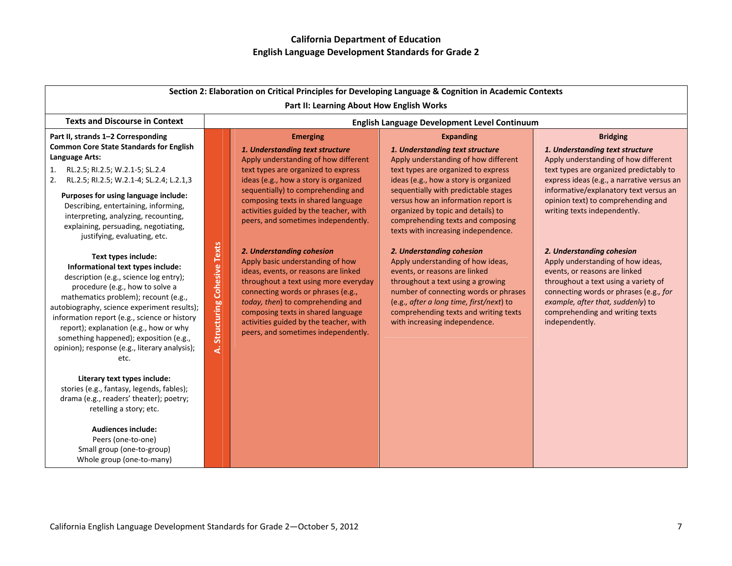| Section 2: Elaboration on Critical Principles for Developing Language & Cognition in Academic Contexts                                                                                                                                                                                                                                                                                                                    |                                        |                                                                                                                                                                                                                                                                                                                                                  |                                                                                                                                                                                                                                                                                                     |                                                                                                                                                                                                                                                                             |
|---------------------------------------------------------------------------------------------------------------------------------------------------------------------------------------------------------------------------------------------------------------------------------------------------------------------------------------------------------------------------------------------------------------------------|----------------------------------------|--------------------------------------------------------------------------------------------------------------------------------------------------------------------------------------------------------------------------------------------------------------------------------------------------------------------------------------------------|-----------------------------------------------------------------------------------------------------------------------------------------------------------------------------------------------------------------------------------------------------------------------------------------------------|-----------------------------------------------------------------------------------------------------------------------------------------------------------------------------------------------------------------------------------------------------------------------------|
|                                                                                                                                                                                                                                                                                                                                                                                                                           |                                        | Part II: Learning About How English Works                                                                                                                                                                                                                                                                                                        |                                                                                                                                                                                                                                                                                                     |                                                                                                                                                                                                                                                                             |
| <b>Texts and Discourse in Context</b>                                                                                                                                                                                                                                                                                                                                                                                     |                                        |                                                                                                                                                                                                                                                                                                                                                  | English Language Development Level Continuum                                                                                                                                                                                                                                                        |                                                                                                                                                                                                                                                                             |
| Part II, strands 1-2 Corresponding<br><b>Common Core State Standards for English</b><br><b>Language Arts:</b>                                                                                                                                                                                                                                                                                                             |                                        | <b>Emerging</b><br>1. Understanding text structure<br>Apply understanding of how different                                                                                                                                                                                                                                                       | <b>Expanding</b><br>1. Understanding text structure<br>Apply understanding of how different                                                                                                                                                                                                         | <b>Bridging</b><br>1. Understanding text structure<br>Apply understanding of how different                                                                                                                                                                                  |
| 1. RL.2.5; RI.2.5; W.2.1-5; SL.2.4<br>RL.2.5; RI.2.5; W.2.1-4; SL.2.4; L.2.1,3<br>2.                                                                                                                                                                                                                                                                                                                                      |                                        | text types are organized to express<br>ideas (e.g., how a story is organized<br>sequentially) to comprehending and                                                                                                                                                                                                                               | text types are organized to express<br>ideas (e.g., how a story is organized<br>sequentially with predictable stages                                                                                                                                                                                | text types are organized predictably to<br>express ideas (e.g., a narrative versus an<br>informative/explanatory text versus an                                                                                                                                             |
| Purposes for using language include:<br>Describing, entertaining, informing,<br>interpreting, analyzing, recounting,<br>explaining, persuading, negotiating,<br>justifying, evaluating, etc.                                                                                                                                                                                                                              |                                        | composing texts in shared language<br>activities guided by the teacher, with<br>peers, and sometimes independently.                                                                                                                                                                                                                              | versus how an information report is<br>organized by topic and details) to<br>comprehending texts and composing<br>texts with increasing independence.                                                                                                                                               | opinion text) to comprehending and<br>writing texts independently.                                                                                                                                                                                                          |
| Text types include:<br>Informational text types include:<br>description (e.g., science log entry);<br>procedure (e.g., how to solve a<br>mathematics problem); recount (e.g.,<br>autobiography, science experiment results);<br>information report (e.g., science or history<br>report); explanation (e.g., how or why<br>something happened); exposition (e.g.,<br>opinion); response (e.g., literary analysis);<br>etc. | <b>Structuring Cohesive Texts</b><br>ä | 2. Understanding cohesion<br>Apply basic understanding of how<br>ideas, events, or reasons are linked<br>throughout a text using more everyday<br>connecting words or phrases (e.g.,<br>today, then) to comprehending and<br>composing texts in shared language<br>activities guided by the teacher, with<br>peers, and sometimes independently. | 2. Understanding cohesion<br>Apply understanding of how ideas,<br>events, or reasons are linked<br>throughout a text using a growing<br>number of connecting words or phrases<br>(e.g., after a long time, first/next) to<br>comprehending texts and writing texts<br>with increasing independence. | 2. Understanding cohesion<br>Apply understanding of how ideas,<br>events, or reasons are linked<br>throughout a text using a variety of<br>connecting words or phrases (e.g., for<br>example, after that, suddenly) to<br>comprehending and writing texts<br>independently. |
| Literary text types include:<br>stories (e.g., fantasy, legends, fables);<br>drama (e.g., readers' theater); poetry;<br>retelling a story; etc.                                                                                                                                                                                                                                                                           |                                        |                                                                                                                                                                                                                                                                                                                                                  |                                                                                                                                                                                                                                                                                                     |                                                                                                                                                                                                                                                                             |
| <b>Audiences include:</b><br>Peers (one-to-one)<br>Small group (one-to-group)<br>Whole group (one-to-many)                                                                                                                                                                                                                                                                                                                |                                        |                                                                                                                                                                                                                                                                                                                                                  |                                                                                                                                                                                                                                                                                                     |                                                                                                                                                                                                                                                                             |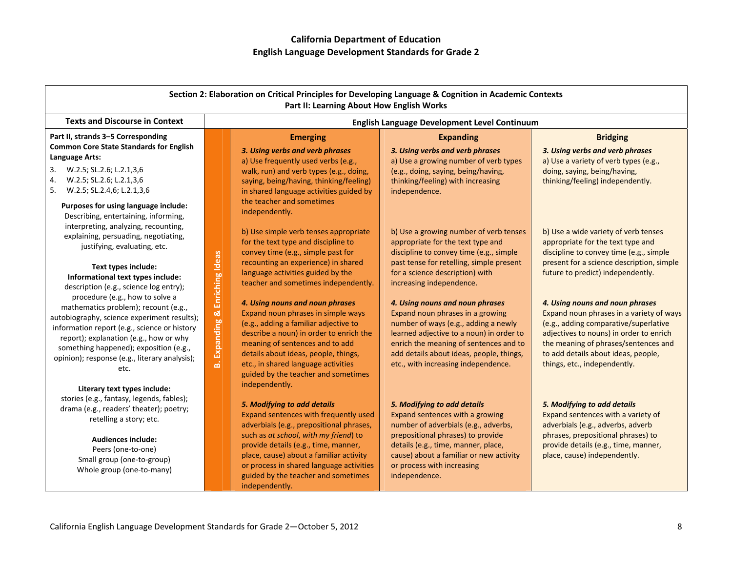| Section 2: Elaboration on Critical Principles for Developing Language & Cognition in Academic Contexts<br>Part II: Learning About How English Works                                                                                                                                                                                                                                                                                                                                                                                                                       |                                          |                                                                                                                                                                                                                                                                                                                                                                                                                                                                                                                                                                                |                                                                                                                                                                                                                                                                                                                                                                                                                                                                                                                           |                                                                                                                                                                                                                                                                                                                                                                                                                                                                                          |
|---------------------------------------------------------------------------------------------------------------------------------------------------------------------------------------------------------------------------------------------------------------------------------------------------------------------------------------------------------------------------------------------------------------------------------------------------------------------------------------------------------------------------------------------------------------------------|------------------------------------------|--------------------------------------------------------------------------------------------------------------------------------------------------------------------------------------------------------------------------------------------------------------------------------------------------------------------------------------------------------------------------------------------------------------------------------------------------------------------------------------------------------------------------------------------------------------------------------|---------------------------------------------------------------------------------------------------------------------------------------------------------------------------------------------------------------------------------------------------------------------------------------------------------------------------------------------------------------------------------------------------------------------------------------------------------------------------------------------------------------------------|------------------------------------------------------------------------------------------------------------------------------------------------------------------------------------------------------------------------------------------------------------------------------------------------------------------------------------------------------------------------------------------------------------------------------------------------------------------------------------------|
| <b>Texts and Discourse in Context</b>                                                                                                                                                                                                                                                                                                                                                                                                                                                                                                                                     |                                          | English Language Development Level Continuum                                                                                                                                                                                                                                                                                                                                                                                                                                                                                                                                   |                                                                                                                                                                                                                                                                                                                                                                                                                                                                                                                           |                                                                                                                                                                                                                                                                                                                                                                                                                                                                                          |
| Part II, strands 3-5 Corresponding<br><b>Common Core State Standards for English</b><br>Language Arts:<br>3. W.2.5; SL.2.6; L.2.1,3,6<br>4.<br>W.2.5; SL.2.6; L.2.1,3,6<br>W.2.5; SL.2.4,6; L.2.1,3,6<br>5.<br>Purposes for using language include:<br>Describing, entertaining, informing,                                                                                                                                                                                                                                                                               |                                          | <b>Emerging</b><br>3. Using verbs and verb phrases<br>a) Use frequently used verbs (e.g.,<br>walk, run) and verb types (e.g., doing,<br>saying, being/having, thinking/feeling)<br>in shared language activities guided by<br>the teacher and sometimes<br>independently.                                                                                                                                                                                                                                                                                                      | <b>Expanding</b><br>3. Using verbs and verb phrases<br>a) Use a growing number of verb types<br>(e.g., doing, saying, being/having,<br>thinking/feeling) with increasing<br>independence.                                                                                                                                                                                                                                                                                                                                 | <b>Bridging</b><br>3. Using verbs and verb phrases<br>a) Use a variety of verb types (e.g.,<br>doing, saying, being/having,<br>thinking/feeling) independently.                                                                                                                                                                                                                                                                                                                          |
| interpreting, analyzing, recounting,<br>explaining, persuading, negotiating,<br>justifying, evaluating, etc.<br>Text types include:<br>Informational text types include:<br>description (e.g., science log entry);<br>procedure (e.g., how to solve a<br>mathematics problem); recount (e.g.,<br>autobiography, science experiment results);<br>information report (e.g., science or history<br>report); explanation (e.g., how or why<br>something happened); exposition (e.g.,<br>opinion); response (e.g., literary analysis);<br>etc.<br>Literary text types include: | Enriching Ideas<br>œΪ<br>Expanding<br>்க | b) Use simple verb tenses appropriate<br>for the text type and discipline to<br>convey time (e.g., simple past for<br>recounting an experience) in shared<br>language activities guided by the<br>teacher and sometimes independently.<br>4. Using nouns and noun phrases<br>Expand noun phrases in simple ways<br>(e.g., adding a familiar adjective to<br>describe a noun) in order to enrich the<br>meaning of sentences and to add<br>details about ideas, people, things,<br>etc., in shared language activities<br>guided by the teacher and sometimes<br>independently. | b) Use a growing number of verb tenses<br>appropriate for the text type and<br>discipline to convey time (e.g., simple<br>past tense for retelling, simple present<br>for a science description) with<br>increasing independence.<br>4. Using nouns and noun phrases<br>Expand noun phrases in a growing<br>number of ways (e.g., adding a newly<br>learned adjective to a noun) in order to<br>enrich the meaning of sentences and to<br>add details about ideas, people, things,<br>etc., with increasing independence. | b) Use a wide variety of verb tenses<br>appropriate for the text type and<br>discipline to convey time (e.g., simple<br>present for a science description, simple<br>future to predict) independently.<br>4. Using nouns and noun phrases<br>Expand noun phrases in a variety of ways<br>(e.g., adding comparative/superlative<br>adjectives to nouns) in order to enrich<br>the meaning of phrases/sentences and<br>to add details about ideas, people,<br>things, etc., independently. |
| stories (e.g., fantasy, legends, fables);<br>drama (e.g., readers' theater); poetry;<br>retelling a story; etc.<br><b>Audiences include:</b><br>Peers (one-to-one)<br>Small group (one-to-group)<br>Whole group (one-to-many)                                                                                                                                                                                                                                                                                                                                             |                                          | 5. Modifying to add details<br>Expand sentences with frequently used<br>adverbials (e.g., prepositional phrases,<br>such as at school, with my friend) to<br>provide details (e.g., time, manner,<br>place, cause) about a familiar activity<br>or process in shared language activities<br>guided by the teacher and sometimes<br>independently.                                                                                                                                                                                                                              | 5. Modifying to add details<br>Expand sentences with a growing<br>number of adverbials (e.g., adverbs,<br>prepositional phrases) to provide<br>details (e.g., time, manner, place,<br>cause) about a familiar or new activity<br>or process with increasing<br>independence.                                                                                                                                                                                                                                              | 5. Modifying to add details<br>Expand sentences with a variety of<br>adverbials (e.g., adverbs, adverb<br>phrases, prepositional phrases) to<br>provide details (e.g., time, manner,<br>place, cause) independently.                                                                                                                                                                                                                                                                     |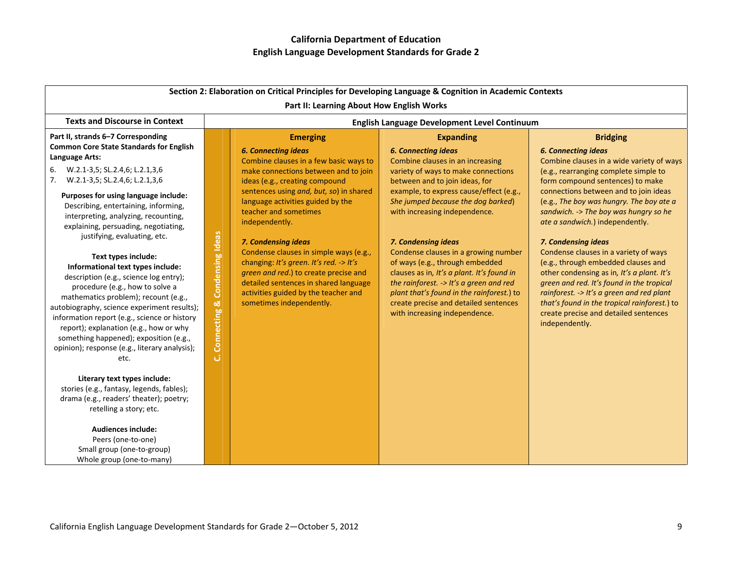| Section 2: Elaboration on Critical Principles for Developing Language & Cognition in Academic Contexts                                                                                                                                                                                                                                                                                                                                                                                                                                                                                                                                                                                                                                                                                                                                                                                                                                                                                                                                                                               |                                                  |                                                                                                                                                                                                                                                                                                                                                                                                                                                                                                                                                                |                                                                                                                                                                                                                                                                                                                                                                                                                                                                                                                                                                                                 |                                                                                                                                                                                                                                                                                                                                                                                                                                                                                                                                                                                                                                                                                                    |
|--------------------------------------------------------------------------------------------------------------------------------------------------------------------------------------------------------------------------------------------------------------------------------------------------------------------------------------------------------------------------------------------------------------------------------------------------------------------------------------------------------------------------------------------------------------------------------------------------------------------------------------------------------------------------------------------------------------------------------------------------------------------------------------------------------------------------------------------------------------------------------------------------------------------------------------------------------------------------------------------------------------------------------------------------------------------------------------|--------------------------------------------------|----------------------------------------------------------------------------------------------------------------------------------------------------------------------------------------------------------------------------------------------------------------------------------------------------------------------------------------------------------------------------------------------------------------------------------------------------------------------------------------------------------------------------------------------------------------|-------------------------------------------------------------------------------------------------------------------------------------------------------------------------------------------------------------------------------------------------------------------------------------------------------------------------------------------------------------------------------------------------------------------------------------------------------------------------------------------------------------------------------------------------------------------------------------------------|----------------------------------------------------------------------------------------------------------------------------------------------------------------------------------------------------------------------------------------------------------------------------------------------------------------------------------------------------------------------------------------------------------------------------------------------------------------------------------------------------------------------------------------------------------------------------------------------------------------------------------------------------------------------------------------------------|
| <b>Texts and Discourse in Context</b>                                                                                                                                                                                                                                                                                                                                                                                                                                                                                                                                                                                                                                                                                                                                                                                                                                                                                                                                                                                                                                                |                                                  | Part II: Learning About How English Works                                                                                                                                                                                                                                                                                                                                                                                                                                                                                                                      |                                                                                                                                                                                                                                                                                                                                                                                                                                                                                                                                                                                                 |                                                                                                                                                                                                                                                                                                                                                                                                                                                                                                                                                                                                                                                                                                    |
|                                                                                                                                                                                                                                                                                                                                                                                                                                                                                                                                                                                                                                                                                                                                                                                                                                                                                                                                                                                                                                                                                      |                                                  |                                                                                                                                                                                                                                                                                                                                                                                                                                                                                                                                                                | English Language Development Level Continuum                                                                                                                                                                                                                                                                                                                                                                                                                                                                                                                                                    |                                                                                                                                                                                                                                                                                                                                                                                                                                                                                                                                                                                                                                                                                                    |
| Part II, strands 6-7 Corresponding<br><b>Common Core State Standards for English</b><br>Language Arts:<br>W.2.1-3,5; SL.2.4,6; L.2.1,3,6<br>6.<br>W.2.1-3,5; SL.2.4,6; L.2.1,3,6<br>7.<br>Purposes for using language include:<br>Describing, entertaining, informing,<br>interpreting, analyzing, recounting,<br>explaining, persuading, negotiating,<br>justifying, evaluating, etc.<br>Text types include:<br>Informational text types include:<br>description (e.g., science log entry);<br>procedure (e.g., how to solve a<br>mathematics problem); recount (e.g.,<br>autobiography, science experiment results);<br>information report (e.g., science or history<br>report); explanation (e.g., how or why<br>something happened); exposition (e.g.,<br>opinion); response (e.g., literary analysis);<br>etc.<br>Literary text types include:<br>stories (e.g., fantasy, legends, fables);<br>drama (e.g., readers' theater); poetry;<br>retelling a story; etc.<br><b>Audiences include:</b><br>Peers (one-to-one)<br>Small group (one-to-group)<br>Whole group (one-to-many) | <b>Condensing Ideas</b><br>ಜ<br>Connecting<br>ان | <b>Emerging</b><br><b>6. Connecting ideas</b><br>Combine clauses in a few basic ways to<br>make connections between and to join<br>ideas (e.g., creating compound<br>sentences using and, but, so) in shared<br>language activities guided by the<br>teacher and sometimes<br>independently.<br>7. Condensing ideas<br>Condense clauses in simple ways (e.g.,<br>changing: It's green. It's red. -> It's<br>green and red.) to create precise and<br>detailed sentences in shared language<br>activities guided by the teacher and<br>sometimes independently. | <b>Expanding</b><br><b>6. Connecting ideas</b><br>Combine clauses in an increasing<br>variety of ways to make connections<br>between and to join ideas, for<br>example, to express cause/effect (e.g.,<br>She jumped because the dog barked)<br>with increasing independence.<br>7. Condensing ideas<br>Condense clauses in a growing number<br>of ways (e.g., through embedded<br>clauses as in, It's a plant. It's found in<br>the rainforest. -> It's a green and red<br>plant that's found in the rainforest.) to<br>create precise and detailed sentences<br>with increasing independence. | <b>Bridging</b><br><b>6. Connecting ideas</b><br>Combine clauses in a wide variety of ways<br>(e.g., rearranging complete simple to<br>form compound sentences) to make<br>connections between and to join ideas<br>(e.g., The boy was hungry. The boy ate a<br>sandwich. -> The boy was hungry so he<br>ate a sandwich.) independently.<br>7. Condensing ideas<br>Condense clauses in a variety of ways<br>(e.g., through embedded clauses and<br>other condensing as in, It's a plant. It's<br>green and red. It's found in the tropical<br>rainforest. -> It's a green and red plant<br>that's found in the tropical rainforest.) to<br>create precise and detailed sentences<br>independently. |